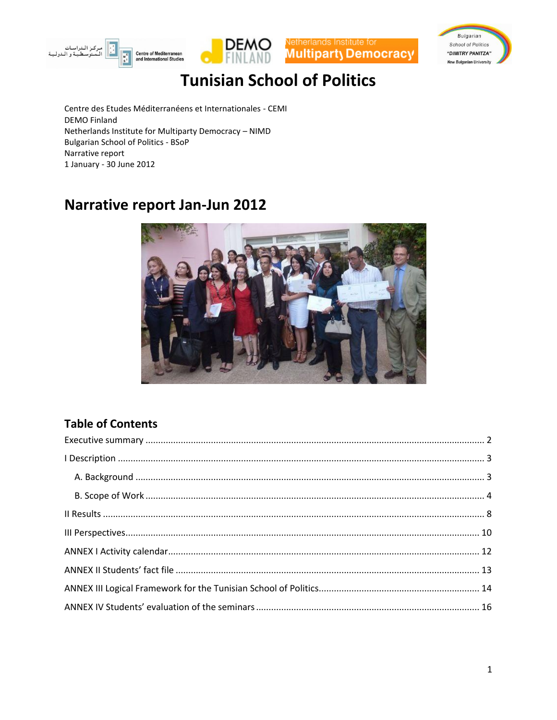







Centre des Etudes Méditerranéens et Internationales - CEMI **DEMO Finland** Netherlands Institute for Multiparty Democracy - NIMD **Bulgarian School of Politics - BSoP** Narrative report 1 January - 30 June 2012

## Narrative report Jan-Jun 2012



### **Table of Contents**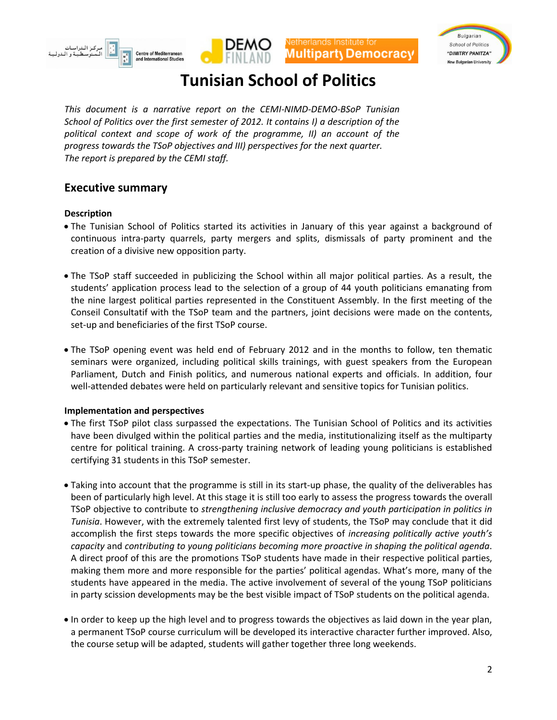







*This document is a narrative report on the CEMI-NIMD-DEMO-BSoP Tunisian School of Politics over the first semester of 2012. It contains I) a description of the political context and scope of work of the programme, II) an account of the progress towards the TSoP objectives and III) perspectives for the next quarter. The report is prepared by the CEMI staff.* 

### <span id="page-1-0"></span>**Executive summary**

#### **Description**

- The Tunisian School of Politics started its activities in January of this year against a background of continuous intra-party quarrels, party mergers and splits, dismissals of party prominent and the creation of a divisive new opposition party.
- The TSoP staff succeeded in publicizing the School within all major political parties. As a result, the students' application process lead to the selection of a group of 44 youth politicians emanating from the nine largest political parties represented in the Constituent Assembly. In the first meeting of the Conseil Consultatif with the TSoP team and the partners, joint decisions were made on the contents, set-up and beneficiaries of the first TSoP course.
- The TSoP opening event was held end of February 2012 and in the months to follow, ten thematic seminars were organized, including political skills trainings, with guest speakers from the European Parliament, Dutch and Finish politics, and numerous national experts and officials. In addition, four well-attended debates were held on particularly relevant and sensitive topics for Tunisian politics.

#### **Implementation and perspectives**

- The first TSoP pilot class surpassed the expectations. The Tunisian School of Politics and its activities have been divulged within the political parties and the media, institutionalizing itself as the multiparty centre for political training. A cross-party training network of leading young politicians is established certifying 31 students in this TSoP semester.
- Taking into account that the programme is still in its start-up phase, the quality of the deliverables has been of particularly high level. At this stage it is still too early to assess the progress towards the overall TSoP objective to contribute to *strengthening inclusive democracy and youth participation in politics in Tunisia*. However, with the extremely talented first levy of students, the TSoP may conclude that it did accomplish the first steps towards the more specific objectives of *increasing politically active youth's capacity* and *contributing to young politicians becoming more proactive in shaping the political agenda*. A direct proof of this are the promotions TSoP students have made in their respective political parties, making them more and more responsible for the parties' political agendas. What's more, many of the students have appeared in the media. The active involvement of several of the young TSoP politicians in party scission developments may be the best visible impact of TSoP students on the political agenda.
- In order to keep up the high level and to progress towards the objectives as laid down in the year plan, a permanent TSoP course curriculum will be developed its interactive character further improved. Also, the course setup will be adapted, students will gather together three long weekends.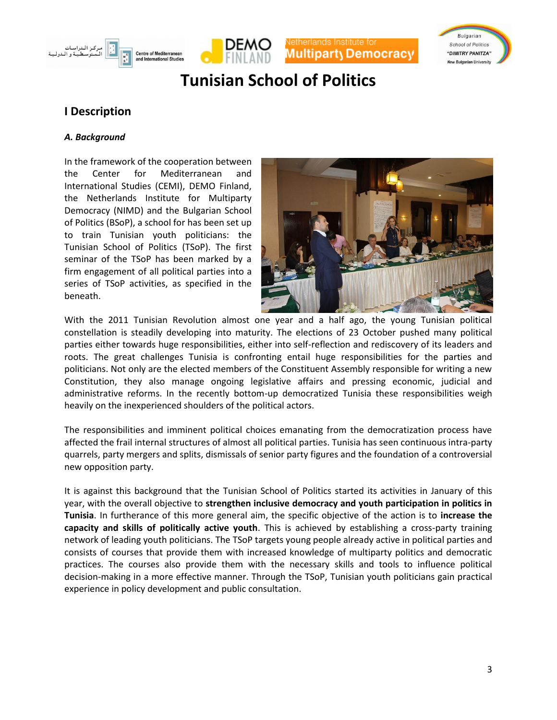







### <span id="page-2-0"></span>**I Description**

#### <span id="page-2-1"></span>*A. Background*

In the framework of the cooperation between the Center for Mediterranean and International Studies (CEMI), DEMO Finland, the Netherlands Institute for Multiparty Democracy (NIMD) and the Bulgarian School of Politics (BSoP), a school for has been set up to train Tunisian youth politicians: the Tunisian School of Politics (TSoP). The first seminar of the TSoP has been marked by a firm engagement of all political parties into a series of TSoP activities, as specified in the beneath.



With the 2011 Tunisian Revolution almost one year and a half ago, the young Tunisian political constellation is steadily developing into maturity. The elections of 23 October pushed many political parties either towards huge responsibilities, either into self-reflection and rediscovery of its leaders and roots. The great challenges Tunisia is confronting entail huge responsibilities for the parties and politicians. Not only are the elected members of the Constituent Assembly responsible for writing a new Constitution, they also manage ongoing legislative affairs and pressing economic, judicial and administrative reforms. In the recently bottom-up democratized Tunisia these responsibilities weigh heavily on the inexperienced shoulders of the political actors.

The responsibilities and imminent political choices emanating from the democratization process have affected the frail internal structures of almost all political parties. Tunisia has seen continuous intra-party quarrels, party mergers and splits, dismissals of senior party figures and the foundation of a controversial new opposition party.

It is against this background that the Tunisian School of Politics started its activities in January of this year, with the overall objective to **strengthen inclusive democracy and youth participation in politics in Tunisia**. In furtherance of this more general aim, the specific objective of the action is to **increase the capacity and skills of politically active youth**. This is achieved by establishing a cross-party training network of leading youth politicians. The TSoP targets young people already active in political parties and consists of courses that provide them with increased knowledge of multiparty politics and democratic practices. The courses also provide them with the necessary skills and tools to influence political decision-making in a more effective manner. Through the TSoP, Tunisian youth politicians gain practical experience in policy development and public consultation.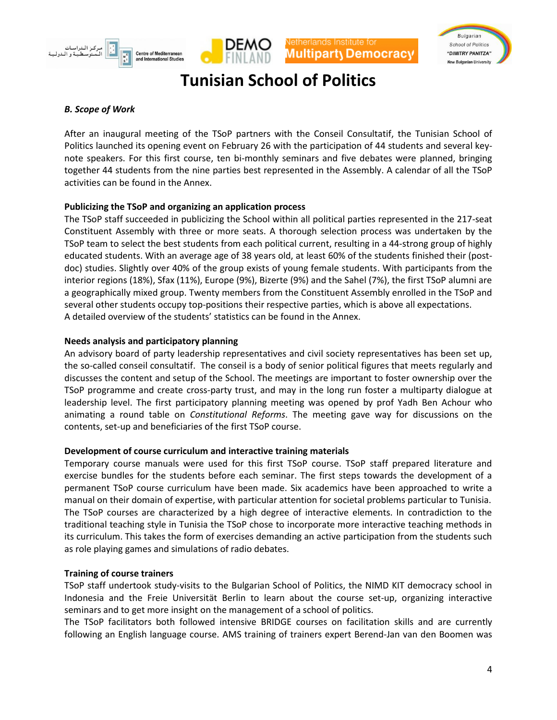





#### <span id="page-3-0"></span>*B. Scope of Work*

After an inaugural meeting of the TSoP partners with the Conseil Consultatif, the Tunisian School of Politics launched its opening event on February 26 with the participation of 44 students and several keynote speakers. For this first course, ten bi-monthly seminars and five debates were planned, bringing together 44 students from the nine parties best represented in the Assembly. A calendar of all the TSoP activities can be found in the Annex.

#### **Publicizing the TSoP and organizing an application process**

The TSoP staff succeeded in publicizing the School within all political parties represented in the 217-seat Constituent Assembly with three or more seats. A thorough selection process was undertaken by the TSoP team to select the best students from each political current, resulting in a 44-strong group of highly educated students. With an average age of 38 years old, at least 60% of the students finished their (postdoc) studies. Slightly over 40% of the group exists of young female students. With participants from the interior regions (18%), Sfax (11%), Europe (9%), Bizerte (9%) and the Sahel (7%), the first TSoP alumni are a geographically mixed group. Twenty members from the Constituent Assembly enrolled in the TSoP and several other students occupy top-positions their respective parties, which is above all expectations. A detailed overview of the students' statistics can be found in the Annex.

#### **Needs analysis and participatory planning**

An advisory board of party leadership representatives and civil society representatives has been set up, the so-called conseil consultatif. The conseil is a body of senior political figures that meets regularly and discusses the content and setup of the School. The meetings are important to foster ownership over the TSoP programme and create cross-party trust, and may in the long run foster a multiparty dialogue at leadership level. The first participatory planning meeting was opened by prof Yadh Ben Achour who animating a round table on *Constitutional Reforms*. The meeting gave way for discussions on the contents, set-up and beneficiaries of the first TSoP course.

#### **Development of course curriculum and interactive training materials**

Temporary course manuals were used for this first TSoP course. TSoP staff prepared literature and exercise bundles for the students before each seminar. The first steps towards the development of a permanent TSoP course curriculum have been made. Six academics have been approached to write a manual on their domain of expertise, with particular attention for societal problems particular to Tunisia. The TSoP courses are characterized by a high degree of interactive elements. In contradiction to the traditional teaching style in Tunisia the TSoP chose to incorporate more interactive teaching methods in its curriculum. This takes the form of exercises demanding an active participation from the students such as role playing games and simulations of radio debates.

#### **Training of course trainers**

TSoP staff undertook study-visits to the Bulgarian School of Politics, the NIMD KIT democracy school in Indonesia and the Freie Universität Berlin to learn about the course set-up, organizing interactive seminars and to get more insight on the management of a school of politics.

The TSoP facilitators both followed intensive BRIDGE courses on facilitation skills and are currently following an English language course. AMS training of trainers expert Berend-Jan van den Boomen was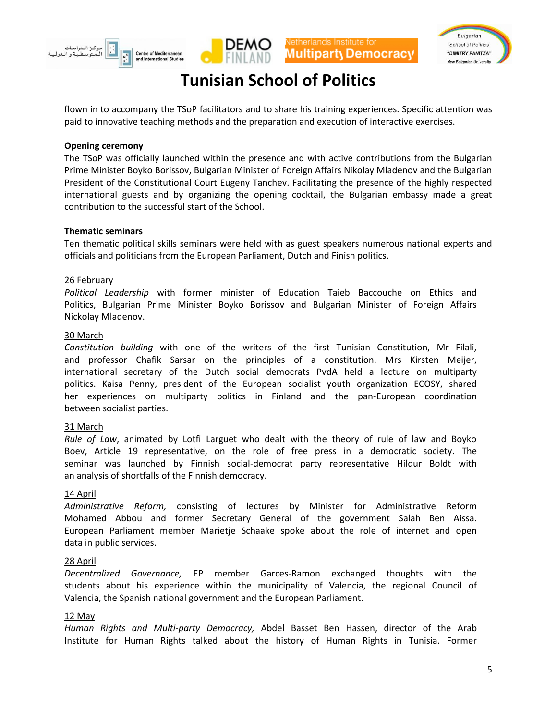





flown in to accompany the TSoP facilitators and to share his training experiences. Specific attention was paid to innovative teaching methods and the preparation and execution of interactive exercises.

#### **Opening ceremony**

The TSoP was officially launched within the presence and with active contributions from the Bulgarian Prime Minister Boyko Borissov, Bulgarian Minister of Foreign Affairs Nikolay Mladenov and the Bulgarian President of the Constitutional Court Eugeny Tanchev. Facilitating the presence of the highly respected international guests and by organizing the opening cocktail, the Bulgarian embassy made a great contribution to the successful start of the School.

#### **Thematic seminars**

Ten thematic political skills seminars were held with as guest speakers numerous national experts and officials and politicians from the European Parliament, Dutch and Finish politics.

#### 26 February

*Political Leadership* with former minister of Education Taieb Baccouche on Ethics and Politics, Bulgarian Prime Minister Boyko Borissov and Bulgarian Minister of Foreign Affairs Nickolay Mladenov.

#### 30 March

*Constitution building* with one of the writers of the first Tunisian Constitution, Mr Filali, and professor Chafik Sarsar on the principles of a constitution. Mrs Kirsten Meijer, international secretary of the Dutch social democrats PvdA held a lecture on multiparty politics. Kaisa Penny, president of the European socialist youth organization ECOSY, shared her experiences on multiparty politics in Finland and the pan-European coordination between socialist parties.

#### 31 March

*Rule of Law*, animated by Lotfi Larguet who dealt with the theory of rule of law and Boyko Boev, Article 19 representative, on the role of free press in a democratic society. The seminar was launched by Finnish social-democrat party representative Hildur Boldt with an analysis of shortfalls of the Finnish democracy.

#### 14 April

*Administrative Reform,* consisting of lectures by Minister for Administrative Reform Mohamed Abbou and former Secretary General of the government Salah Ben Aissa. European Parliament member Marietje Schaake spoke about the role of internet and open data in public services.

#### 28 April

*Decentralized Governance,* EP member Garces-Ramon exchanged thoughts with the students about his experience within the municipality of Valencia, the regional Council of Valencia, the Spanish national government and the European Parliament.

#### 12 May

*Human Rights and Multi-party Democracy,* Abdel Basset Ben Hassen, director of the Arab Institute for Human Rights talked about the history of Human Rights in Tunisia. Former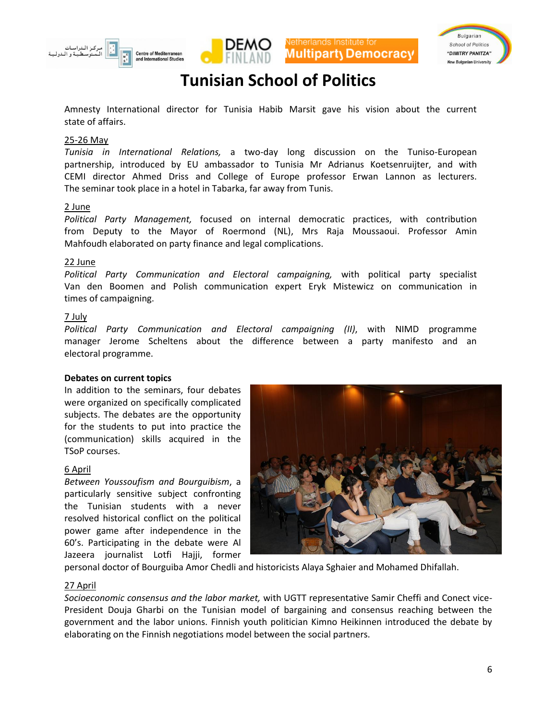







Amnesty International director for Tunisia Habib Marsit gave his vision about the current state of affairs.

#### 25-26 May

*Tunisia in International Relations,* a two-day long discussion on the Tuniso-European partnership, introduced by EU ambassador to Tunisia Mr Adrianus Koetsenruijter, and with CEMI director Ahmed Driss and College of Europe professor Erwan Lannon as lecturers. The seminar took place in a hotel in Tabarka, far away from Tunis.

#### 2 June

*Political Party Management,* focused on internal democratic practices, with contribution from Deputy to the Mayor of Roermond (NL), Mrs Raja Moussaoui. Professor Amin Mahfoudh elaborated on party finance and legal complications.

#### 22 June

*Political Party Communication and Electoral campaigning,* with political party specialist Van den Boomen and Polish communication expert Eryk Mistewicz on communication in times of campaigning.

#### 7 July

*Political Party Communication and Electoral campaigning (II)*, with NIMD programme manager Jerome Scheltens about the difference between a party manifesto and an electoral programme.

#### **Debates on current topics**

In addition to the seminars, four debates were organized on specifically complicated subjects. The debates are the opportunity for the students to put into practice the (communication) skills acquired in the TSoP courses.

#### 6 April

*Between Youssoufism and Bourguibism*, a particularly sensitive subject confronting the Tunisian students with a never resolved historical conflict on the political power game after independence in the 60's. Participating in the debate were Al Jazeera journalist Lotfi Hajji, former



personal doctor of Bourguiba Amor Chedli and historicists Alaya Sghaier and Mohamed Dhifallah.

#### 27 April

*Socioeconomic consensus and the labor market,* with UGTT representative Samir Cheffi and Conect vice-President Douja Gharbi on the Tunisian model of bargaining and consensus reaching between the government and the labor unions. Finnish youth politician Kimno Heikinnen introduced the debate by elaborating on the Finnish negotiations model between the social partners.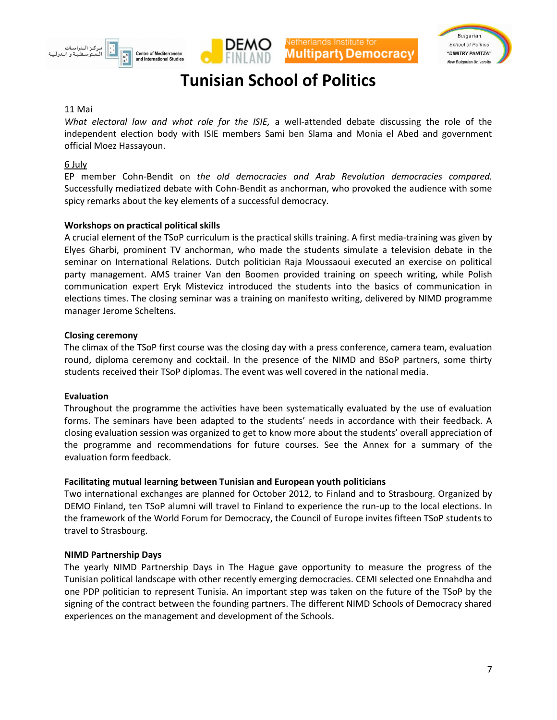





#### 11 Mai

*What electoral law and what role for the ISIE,* a well-attended debate discussing the role of the independent election body with ISIE members Sami ben Slama and Monia el Abed and government official Moez Hassayoun.

#### 6 July

EP member Cohn-Bendit on *the old democracies and Arab Revolution democracies compared.*  Successfully mediatized debate with Cohn-Bendit as anchorman, who provoked the audience with some spicy remarks about the key elements of a successful democracy.

#### **Workshops on practical political skills**

A crucial element of the TSoP curriculum is the practical skills training. A first media-training was given by Elyes Gharbi, prominent TV anchorman, who made the students simulate a television debate in the seminar on International Relations. Dutch politician Raja Moussaoui executed an exercise on political party management. AMS trainer Van den Boomen provided training on speech writing, while Polish communication expert Eryk Mistevicz introduced the students into the basics of communication in elections times. The closing seminar was a training on manifesto writing, delivered by NIMD programme manager Jerome Scheltens.

#### **Closing ceremony**

The climax of the TSoP first course was the closing day with a press conference, camera team, evaluation round, diploma ceremony and cocktail. In the presence of the NIMD and BSoP partners, some thirty students received their TSoP diplomas. The event was well covered in the national media.

#### **Evaluation**

Throughout the programme the activities have been systematically evaluated by the use of evaluation forms. The seminars have been adapted to the students' needs in accordance with their feedback. A closing evaluation session was organized to get to know more about the students' overall appreciation of the programme and recommendations for future courses. See the Annex for a summary of the evaluation form feedback.

#### **Facilitating mutual learning between Tunisian and European youth politicians**

Two international exchanges are planned for October 2012, to Finland and to Strasbourg. Organized by DEMO Finland, ten TSoP alumni will travel to Finland to experience the run-up to the local elections. In the framework of the World Forum for Democracy, the Council of Europe invites fifteen TSoP students to travel to Strasbourg.

#### **NIMD Partnership Days**

The yearly NIMD Partnership Days in The Hague gave opportunity to measure the progress of the Tunisian political landscape with other recently emerging democracies. CEMI selected one Ennahdha and one PDP politician to represent Tunisia. An important step was taken on the future of the TSoP by the signing of the contract between the founding partners. The different NIMD Schools of Democracy shared experiences on the management and development of the Schools.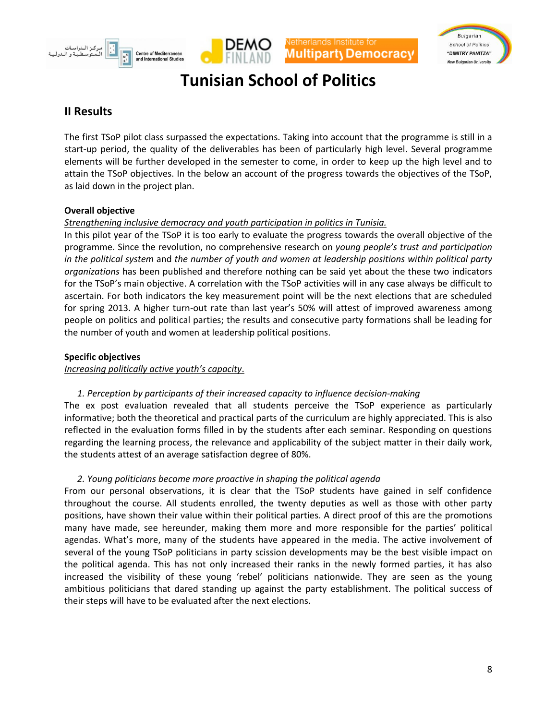





### <span id="page-7-0"></span>**II Results**

The first TSoP pilot class surpassed the expectations. Taking into account that the programme is still in a start-up period, the quality of the deliverables has been of particularly high level. Several programme elements will be further developed in the semester to come, in order to keep up the high level and to attain the TSoP objectives. In the below an account of the progress towards the objectives of the TSoP, as laid down in the project plan.

#### **Overall objective**

#### *Strengthening inclusive democracy and youth participation in politics in Tunisia.*

In this pilot year of the TSoP it is too early to evaluate the progress towards the overall objective of the programme. Since the revolution, no comprehensive research on *young people's trust and participation in the political system* and *the number of youth and women at leadership positions within political party organizations* has been published and therefore nothing can be said yet about the these two indicators for the TSoP's main objective. A correlation with the TSoP activities will in any case always be difficult to ascertain. For both indicators the key measurement point will be the next elections that are scheduled for spring 2013. A higher turn-out rate than last year's 50% will attest of improved awareness among people on politics and political parties; the results and consecutive party formations shall be leading for the number of youth and women at leadership political positions.

#### **Specific objectives**

#### *Increasing politically active youth's capacity*.

#### *1. Perception by participants of their increased capacity to influence decision-making*

The ex post evaluation revealed that all students perceive the TSoP experience as particularly informative; both the theoretical and practical parts of the curriculum are highly appreciated. This is also reflected in the evaluation forms filled in by the students after each seminar. Responding on questions regarding the learning process, the relevance and applicability of the subject matter in their daily work, the students attest of an average satisfaction degree of 80%.

#### *2. Young politicians become more proactive in shaping the political agenda*

From our personal observations, it is clear that the TSoP students have gained in self confidence throughout the course. All students enrolled, the twenty deputies as well as those with other party positions, have shown their value within their political parties. A direct proof of this are the promotions many have made, see hereunder, making them more and more responsible for the parties' political agendas. What's more, many of the students have appeared in the media. The active involvement of several of the young TSoP politicians in party scission developments may be the best visible impact on the political agenda. This has not only increased their ranks in the newly formed parties, it has also increased the visibility of these young 'rebel' politicians nationwide. They are seen as the young ambitious politicians that dared standing up against the party establishment. The political success of their steps will have to be evaluated after the next elections.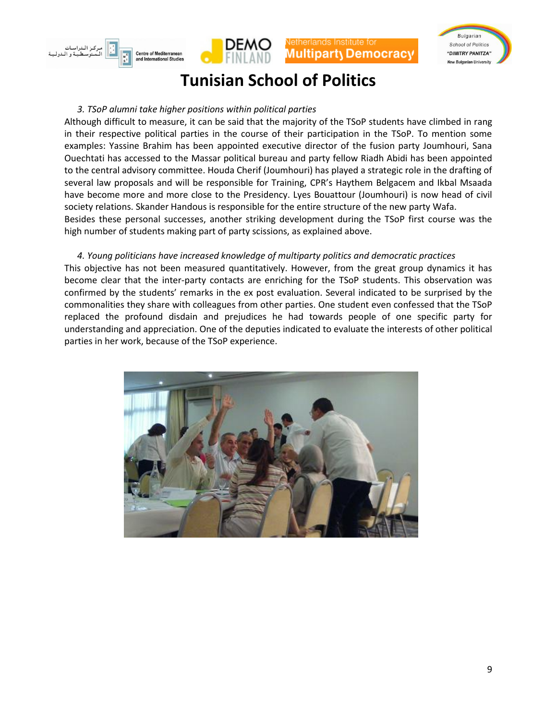





#### *3. TSoP alumni take higher positions within political parties*

Although difficult to measure, it can be said that the majority of the TSoP students have climbed in rang in their respective political parties in the course of their participation in the TSoP. To mention some examples: Yassine Brahim has been appointed executive director of the fusion party Joumhouri, Sana Ouechtati has accessed to the Massar political bureau and party fellow Riadh Abidi has been appointed to the central advisory committee. Houda Cherif (Joumhouri) has played a strategic role in the drafting of several law proposals and will be responsible for Training, CPR's Haythem Belgacem and Ikbal Msaada have become more and more close to the Presidency. Lyes Bouattour (Joumhouri) is now head of civil society relations. Skander Handous is responsible for the entire structure of the new party Wafa. Besides these personal successes, another striking development during the TSoP first course was the high number of students making part of party scissions, as explained above.

#### *4. Young politicians have increased knowledge of multiparty politics and democratic practices*

This objective has not been measured quantitatively. However, from the great group dynamics it has become clear that the inter-party contacts are enriching for the TSoP students. This observation was confirmed by the students' remarks in the ex post evaluation. Several indicated to be surprised by the commonalities they share with colleagues from other parties. One student even confessed that the TSoP replaced the profound disdain and prejudices he had towards people of one specific party for understanding and appreciation. One of the deputies indicated to evaluate the interests of other political parties in her work, because of the TSoP experience.

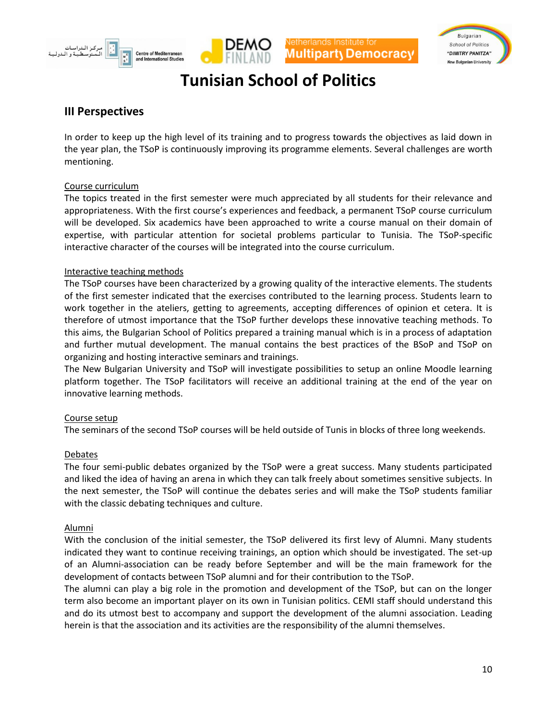





### <span id="page-9-0"></span>**III Perspectives**

In order to keep up the high level of its training and to progress towards the objectives as laid down in the year plan, the TSoP is continuously improving its programme elements. Several challenges are worth mentioning.

#### Course curriculum

The topics treated in the first semester were much appreciated by all students for their relevance and appropriateness. With the first course's experiences and feedback, a permanent TSoP course curriculum will be developed. Six academics have been approached to write a course manual on their domain of expertise, with particular attention for societal problems particular to Tunisia. The TSoP-specific interactive character of the courses will be integrated into the course curriculum.

#### Interactive teaching methods

The TSoP courses have been characterized by a growing quality of the interactive elements. The students of the first semester indicated that the exercises contributed to the learning process. Students learn to work together in the ateliers, getting to agreements, accepting differences of opinion et cetera. It is therefore of utmost importance that the TSoP further develops these innovative teaching methods. To this aims, the Bulgarian School of Politics prepared a training manual which is in a process of adaptation and further mutual development. The manual contains the best practices of the BSoP and TSoP on organizing and hosting interactive seminars and trainings.

The New Bulgarian University and TSoP will investigate possibilities to setup an online Moodle learning platform together. The TSoP facilitators will receive an additional training at the end of the year on innovative learning methods.

#### Course setup

The seminars of the second TSoP courses will be held outside of Tunis in blocks of three long weekends.

#### Debates

The four semi-public debates organized by the TSoP were a great success. Many students participated and liked the idea of having an arena in which they can talk freely about sometimes sensitive subjects. In the next semester, the TSoP will continue the debates series and will make the TSoP students familiar with the classic debating techniques and culture.

#### Alumni

With the conclusion of the initial semester, the TSoP delivered its first levy of Alumni. Many students indicated they want to continue receiving trainings, an option which should be investigated. The set-up of an Alumni-association can be ready before September and will be the main framework for the development of contacts between TSoP alumni and for their contribution to the TSoP.

The alumni can play a big role in the promotion and development of the TSoP, but can on the longer term also become an important player on its own in Tunisian politics. CEMI staff should understand this and do its utmost best to accompany and support the development of the alumni association. Leading herein is that the association and its activities are the responsibility of the alumni themselves.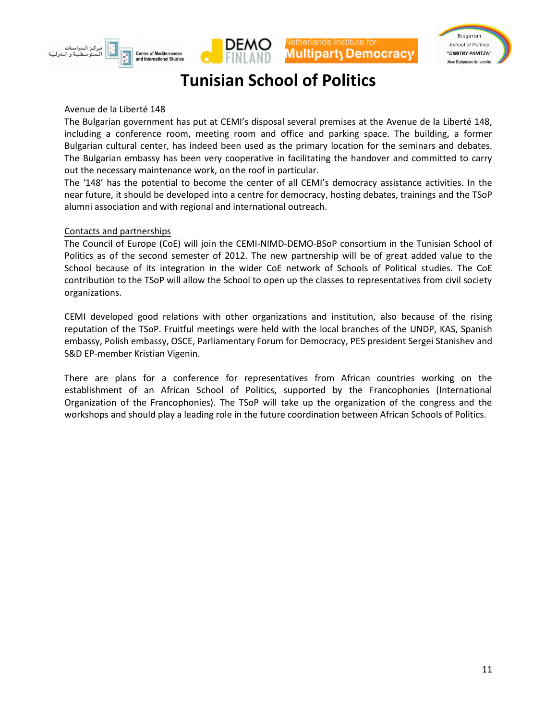





#### Avenue de la Liberté 148

The Bulgarian government has put at CEMI's disposal several premises at the Avenue de la Liberté 148, including a conference room, meeting room and office and parking space. The building, a former Bulgarian cultural center, has indeed been used as the primary location for the seminars and debates. The Bulgarian embassy has been very cooperative in facilitating the handover and committed to carry out the necessary maintenance work, on the roof in particular.

The '148' has the potential to become the center of all CEMI's democracy assistance activities. In the near future, it should be developed into a centre for democracy, hosting debates, trainings and the TSoP alumni association and with regional and international outreach.

#### Contacts and partnerships

The Council of Europe (CoE) will join the CEMI-NIMD-DEMO-BSoP consortium in the Tunisian School of Politics as of the second semester of 2012. The new partnership will be of great added value to the School because of its integration in the wider CoE network of Schools of Political studies. The CoE contribution to the TSoP will allow the School to open up the classes to representatives from civil society organizations.

CEMI developed good relations with other organizations and institution, also because of the rising reputation of the TSoP. Fruitful meetings were held with the local branches of the UNDP, KAS, Spanish embassy, Polish embassy, OSCE, Parliamentary Forum for Democracy, PES president Sergei Stanishev and S&D EP-member Kristian Vigenin.

There are plans for a conference for representatives from African countries working on the establishment of an African School of Politics, supported by the Francophonies (International Organization of the Francophonies). The TSoP will take up the organization of the congress and the workshops and should play a leading role in the future coordination between African Schools of Politics.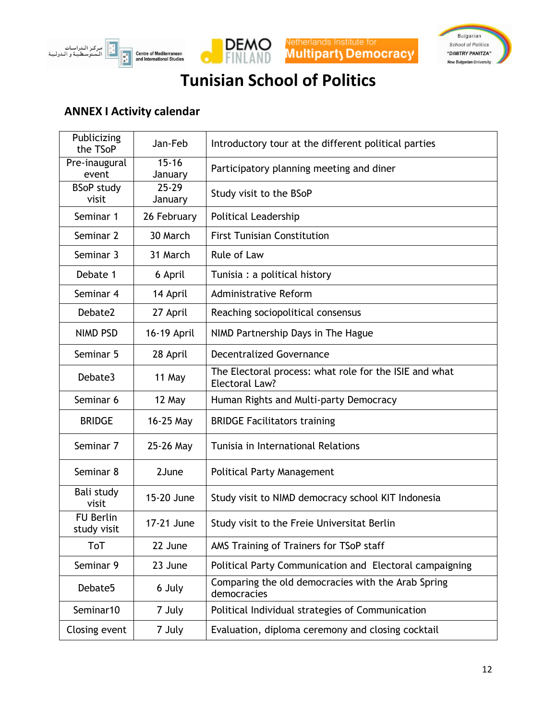







### <span id="page-11-0"></span>**ANNEX I Activity calendar**

| Publicizing<br>the TSoP         | Jan-Feb              | Introductory tour at the different political parties                     |
|---------------------------------|----------------------|--------------------------------------------------------------------------|
| Pre-inaugural<br>event          | $15 - 16$<br>January | Participatory planning meeting and diner                                 |
| <b>BSoP study</b><br>visit      | $25 - 29$<br>January | Study visit to the BSoP                                                  |
| Seminar 1                       | 26 February          | <b>Political Leadership</b>                                              |
| Seminar 2                       | 30 March             | <b>First Tunisian Constitution</b>                                       |
| Seminar 3                       | 31 March             | Rule of Law                                                              |
| Debate 1                        | 6 April              | Tunisia : a political history                                            |
| Seminar 4                       | 14 April             | <b>Administrative Reform</b>                                             |
| Debate2                         | 27 April             | Reaching sociopolitical consensus                                        |
| <b>NIMD PSD</b>                 | 16-19 April          | NIMD Partnership Days in The Hague                                       |
| Seminar 5                       | 28 April             | <b>Decentralized Governance</b>                                          |
| Debate3                         | 11 May               | The Electoral process: what role for the ISIE and what<br>Electoral Law? |
| Seminar 6                       | 12 May               | Human Rights and Multi-party Democracy                                   |
| <b>BRIDGE</b>                   | 16-25 May            | <b>BRIDGE Facilitators training</b>                                      |
| Seminar 7                       | 25-26 May            | Tunisia in International Relations                                       |
| Seminar 8                       | 2June                | Political Party Management                                               |
| Bali study<br>visit             | 15-20 June           | Study visit to NIMD democracy school KIT Indonesia                       |
| <b>FU Berlin</b><br>study visit | 17-21 June           | Study visit to the Freie Universitat Berlin                              |
| ToT                             | 22 June              | AMS Training of Trainers for TSoP staff                                  |
| Seminar 9                       | 23 June              | Political Party Communication and Electoral campaigning                  |
| Debate5                         | 6 July               | Comparing the old democracies with the Arab Spring<br>democracies        |
| Seminar10                       | 7 July               | Political Individual strategies of Communication                         |
| Closing event                   | 7 July               | Evaluation, diploma ceremony and closing cocktail                        |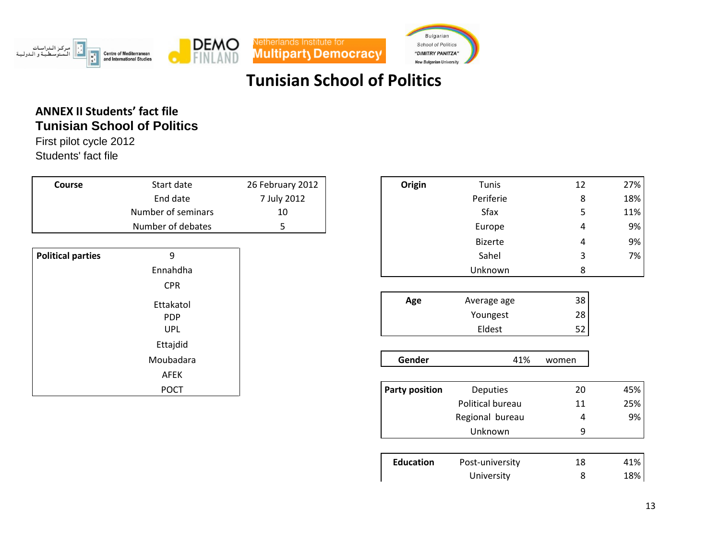





### **ANNEX II Students' fact file Tunisian School of Politics**

First pilot cycle 2012 Students' fact file

<span id="page-12-0"></span>

| Course                   | Start date         | 26 February 2012 | Origin                | Tunis           | 12    | 27% |
|--------------------------|--------------------|------------------|-----------------------|-----------------|-------|-----|
|                          | End date           | 7 July 2012      |                       | Periferie       | 8     | 18% |
|                          | Number of seminars | 10               |                       | Sfax            | 5     | 11% |
|                          | Number of debates  | 5 <sub>1</sub>   |                       | Europe          | 4     | 9%  |
|                          |                    |                  |                       | <b>Bizerte</b>  | 4     | 9%  |
| <b>Political parties</b> | 9                  |                  |                       | Sahel           | 3     | 7%  |
|                          | Ennahdha           |                  |                       | Unknown         | 8     |     |
|                          | <b>CPR</b>         |                  |                       |                 |       |     |
|                          | Ettakatol          |                  | Age                   | Average age     | 38    |     |
|                          | <b>PDP</b>         |                  |                       | Youngest        | 28    |     |
|                          | <b>UPL</b>         |                  |                       | Eldest          | 52    |     |
|                          | Ettajdid           |                  |                       |                 |       |     |
|                          | Moubadara          |                  | Gender                | 41%             | women |     |
|                          | <b>AFEK</b>        |                  |                       |                 |       |     |
|                          | <b>POCT</b>        |                  | <b>Party position</b> | <b>Deputies</b> | 20    | 45% |

| Course       | Start date         | 26 February 2012 | Origin                | Tunis            | 12    | 27% |
|--------------|--------------------|------------------|-----------------------|------------------|-------|-----|
|              | End date           | 7 July 2012      |                       | Periferie        | 8     | 18% |
|              | Number of seminars | 10               |                       | Sfax             | 5     | 11% |
|              | Number of debates  | 5                |                       | Europe           | 4     | 9%  |
|              |                    |                  |                       | <b>Bizerte</b>   | 4     | 9%  |
| ical parties | 9                  |                  |                       | Sahel            | 3     | 7%  |
|              | Ennahdha           |                  |                       | Unknown          | 8     |     |
|              | <b>CPR</b>         |                  |                       |                  |       |     |
|              | Ettakatol          |                  | Age                   | Average age      | 38    |     |
|              | <b>PDP</b>         |                  |                       | Youngest         | 28    |     |
|              | <b>UPL</b>         |                  |                       | Eldest           | 52    |     |
|              | Ettajdid           |                  |                       |                  |       |     |
|              | Moubadara          |                  | Gender                | 41%              | women |     |
|              | AFEK               |                  |                       |                  |       |     |
|              | <b>POCT</b>        |                  | <b>Party position</b> | <b>Deputies</b>  | 20    | 45% |
|              |                    |                  |                       | Political bureau | 11    | 25% |
|              |                    |                  |                       | Regional bureau  | 4     | 9%  |
|              |                    |                  |                       | Unknown          | 9     |     |

| <b>Education</b> | Post-university | 18 | 41% |
|------------------|-----------------|----|-----|
|                  | University      |    | 18% |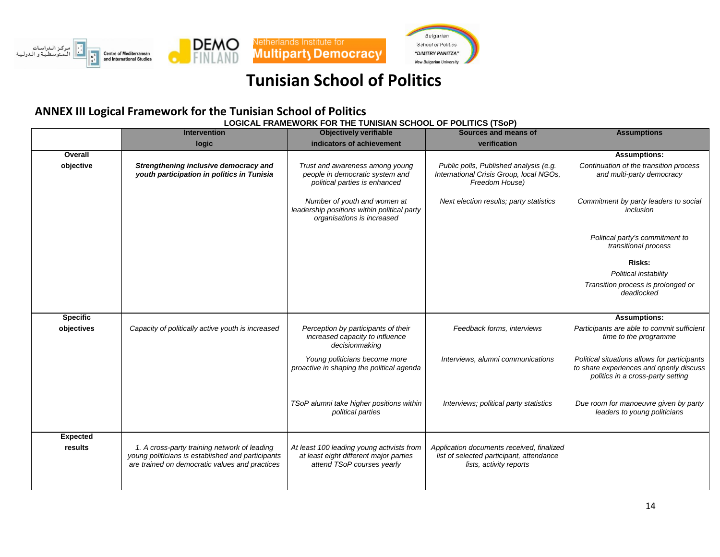





### **ANNEX III Logical Framework for the Tunisian School of Politics**

**LOGICAL FRAMEWORK FOR THE TUNISIAN SCHOOL OF POLITICS (TSoP)**

<span id="page-13-0"></span>

|                 | <b>Intervention</b>                                                                                                                                 | <b>Objectively verifiable</b>                                                                                     | Sources and means of                                                                                             | <b>Assumptions</b>                                                                                                           |
|-----------------|-----------------------------------------------------------------------------------------------------------------------------------------------------|-------------------------------------------------------------------------------------------------------------------|------------------------------------------------------------------------------------------------------------------|------------------------------------------------------------------------------------------------------------------------------|
|                 | logic                                                                                                                                               | indicators of achievement                                                                                         | verification                                                                                                     |                                                                                                                              |
| Overall         |                                                                                                                                                     |                                                                                                                   |                                                                                                                  | <b>Assumptions:</b>                                                                                                          |
| objective       | Strengthening inclusive democracy and<br>youth participation in politics in Tunisia                                                                 | Trust and awareness among young<br>people in democratic system and<br>political parties is enhanced               | Public polls, Published analysis (e.g.<br>International Crisis Group, local NGOs,<br>Freedom House)              | Continuation of the transition process<br>and multi-party democracy                                                          |
|                 |                                                                                                                                                     | Number of youth and women at<br>leadership positions within political party<br>organisations is increased         | Next election results; party statistics                                                                          | Commitment by party leaders to social<br>inclusion                                                                           |
|                 |                                                                                                                                                     |                                                                                                                   |                                                                                                                  | Political party's commitment to<br>transitional process                                                                      |
|                 |                                                                                                                                                     |                                                                                                                   |                                                                                                                  | Risks:                                                                                                                       |
|                 |                                                                                                                                                     |                                                                                                                   |                                                                                                                  | Political instability                                                                                                        |
|                 |                                                                                                                                                     |                                                                                                                   |                                                                                                                  | Transition process is prolonged or<br>deadlocked                                                                             |
|                 |                                                                                                                                                     |                                                                                                                   |                                                                                                                  |                                                                                                                              |
| <b>Specific</b> |                                                                                                                                                     |                                                                                                                   |                                                                                                                  | <b>Assumptions:</b>                                                                                                          |
| objectives      | Capacity of politically active youth is increased                                                                                                   | Perception by participants of their<br>increased capacity to influence<br>decisionmaking                          | Feedback forms, interviews                                                                                       | Participants are able to commit sufficient<br>time to the programme                                                          |
|                 |                                                                                                                                                     | Young politicians become more<br>proactive in shaping the political agenda                                        | Interviews, alumni communications                                                                                | Political situations allows for participants<br>to share experiences and openly discuss<br>politics in a cross-party setting |
|                 |                                                                                                                                                     | TSoP alumni take higher positions within<br>political parties                                                     | Interviews; political party statistics                                                                           | Due room for manoeuvre given by party<br>leaders to young politicians                                                        |
| <b>Expected</b> |                                                                                                                                                     |                                                                                                                   |                                                                                                                  |                                                                                                                              |
| results         | 1. A cross-party training network of leading<br>young politicians is established and participants<br>are trained on democratic values and practices | At least 100 leading young activists from<br>at least eight different major parties<br>attend TSoP courses yearly | Application documents received, finalized<br>list of selected participant, attendance<br>lists, activity reports |                                                                                                                              |
|                 |                                                                                                                                                     |                                                                                                                   |                                                                                                                  |                                                                                                                              |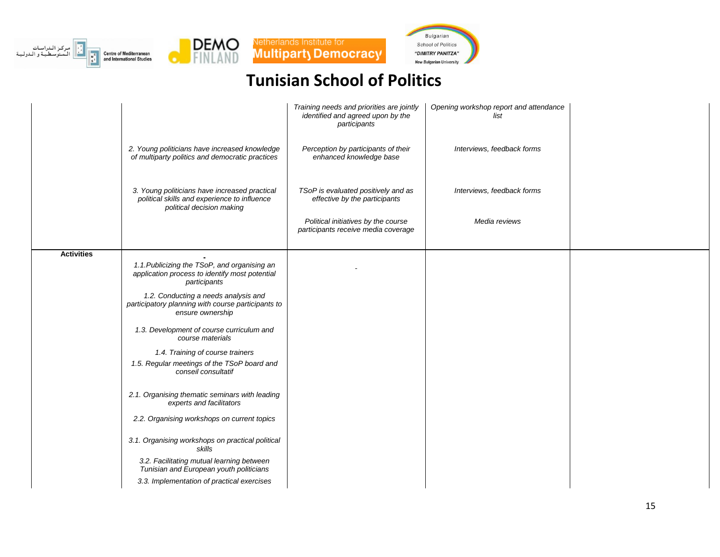







| Interviews, feedback forms<br>2. Young politicians have increased knowledge<br>Perception by participants of their<br>of multiparty politics and democratic practices<br>enhanced knowledge base<br>3. Young politicians have increased practical<br>TSoP is evaluated positively and as<br>Interviews, feedback forms<br>political skills and experience to influence<br>effective by the participants<br>political decision making<br>Political initiatives by the course<br>Media reviews<br>participants receive media coverage<br><b>Activities</b><br>1.1. Publicizing the TSoP, and organising an<br>application process to identify most potential<br>participants<br>1.2. Conducting a needs analysis and<br>participatory planning with course participants to<br>ensure ownership<br>1.3. Development of course curriculum and<br>course materials<br>1.4. Training of course trainers<br>1.5. Regular meetings of the TSoP board and<br>conseil consultatif<br>2.1. Organising thematic seminars with leading<br>experts and facilitators<br>2.2. Organising workshops on current topics<br>3.1. Organising workshops on practical political |        | Training needs and priorities are jointly<br>identified and agreed upon by the<br>participants | Opening workshop report and attendance<br>list |  |
|----------------------------------------------------------------------------------------------------------------------------------------------------------------------------------------------------------------------------------------------------------------------------------------------------------------------------------------------------------------------------------------------------------------------------------------------------------------------------------------------------------------------------------------------------------------------------------------------------------------------------------------------------------------------------------------------------------------------------------------------------------------------------------------------------------------------------------------------------------------------------------------------------------------------------------------------------------------------------------------------------------------------------------------------------------------------------------------------------------------------------------------------------------|--------|------------------------------------------------------------------------------------------------|------------------------------------------------|--|
|                                                                                                                                                                                                                                                                                                                                                                                                                                                                                                                                                                                                                                                                                                                                                                                                                                                                                                                                                                                                                                                                                                                                                          |        |                                                                                                |                                                |  |
|                                                                                                                                                                                                                                                                                                                                                                                                                                                                                                                                                                                                                                                                                                                                                                                                                                                                                                                                                                                                                                                                                                                                                          |        |                                                                                                |                                                |  |
|                                                                                                                                                                                                                                                                                                                                                                                                                                                                                                                                                                                                                                                                                                                                                                                                                                                                                                                                                                                                                                                                                                                                                          |        |                                                                                                |                                                |  |
|                                                                                                                                                                                                                                                                                                                                                                                                                                                                                                                                                                                                                                                                                                                                                                                                                                                                                                                                                                                                                                                                                                                                                          |        |                                                                                                |                                                |  |
|                                                                                                                                                                                                                                                                                                                                                                                                                                                                                                                                                                                                                                                                                                                                                                                                                                                                                                                                                                                                                                                                                                                                                          |        |                                                                                                |                                                |  |
|                                                                                                                                                                                                                                                                                                                                                                                                                                                                                                                                                                                                                                                                                                                                                                                                                                                                                                                                                                                                                                                                                                                                                          |        |                                                                                                |                                                |  |
|                                                                                                                                                                                                                                                                                                                                                                                                                                                                                                                                                                                                                                                                                                                                                                                                                                                                                                                                                                                                                                                                                                                                                          |        |                                                                                                |                                                |  |
|                                                                                                                                                                                                                                                                                                                                                                                                                                                                                                                                                                                                                                                                                                                                                                                                                                                                                                                                                                                                                                                                                                                                                          |        |                                                                                                |                                                |  |
|                                                                                                                                                                                                                                                                                                                                                                                                                                                                                                                                                                                                                                                                                                                                                                                                                                                                                                                                                                                                                                                                                                                                                          |        |                                                                                                |                                                |  |
|                                                                                                                                                                                                                                                                                                                                                                                                                                                                                                                                                                                                                                                                                                                                                                                                                                                                                                                                                                                                                                                                                                                                                          |        |                                                                                                |                                                |  |
|                                                                                                                                                                                                                                                                                                                                                                                                                                                                                                                                                                                                                                                                                                                                                                                                                                                                                                                                                                                                                                                                                                                                                          |        |                                                                                                |                                                |  |
|                                                                                                                                                                                                                                                                                                                                                                                                                                                                                                                                                                                                                                                                                                                                                                                                                                                                                                                                                                                                                                                                                                                                                          | skills |                                                                                                |                                                |  |
| 3.2. Facilitating mutual learning between<br>Tunisian and European youth politicians                                                                                                                                                                                                                                                                                                                                                                                                                                                                                                                                                                                                                                                                                                                                                                                                                                                                                                                                                                                                                                                                     |        |                                                                                                |                                                |  |
| 3.3. Implementation of practical exercises                                                                                                                                                                                                                                                                                                                                                                                                                                                                                                                                                                                                                                                                                                                                                                                                                                                                                                                                                                                                                                                                                                               |        |                                                                                                |                                                |  |